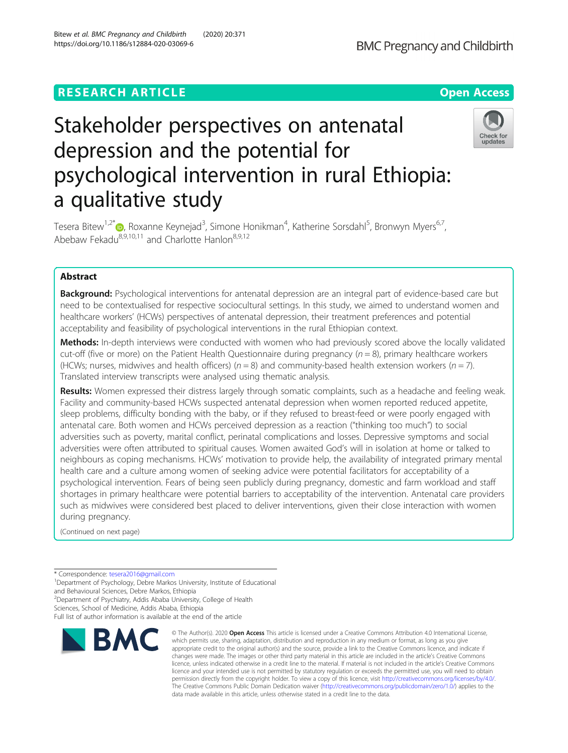# **RESEARCH ARTICLE Example 2014 12:30 The Contract of Contract ACCESS**

# Stakeholder perspectives on antenatal depression and the potential for psychological intervention in rural Ethiopia: a qualitative study

Tesera Bitew<sup>1[,](http://orcid.org/0000-0002-2270-9542)2\*</sup>©, Roxanne Keynejad<sup>3</sup>, Simone Honikman<sup>4</sup>, Katherine Sorsdahl<sup>5</sup>, Bronwyn Myers<sup>6,7</sup>, Abebaw Fekadu<sup>8,9,10,11</sup> and Charlotte Hanlon<sup>8,9,12</sup>

# Abstract

**Background:** Psychological interventions for antenatal depression are an integral part of evidence-based care but need to be contextualised for respective sociocultural settings. In this study, we aimed to understand women and healthcare workers' (HCWs) perspectives of antenatal depression, their treatment preferences and potential acceptability and feasibility of psychological interventions in the rural Ethiopian context.

Methods: In-depth interviews were conducted with women who had previously scored above the locally validated cut-off (five or more) on the Patient Health Questionnaire during pregnancy ( $n = 8$ ), primary healthcare workers (HCWs; nurses, midwives and health officers) ( $n = 8$ ) and community-based health extension workers ( $n = 7$ ). Translated interview transcripts were analysed using thematic analysis.

Results: Women expressed their distress largely through somatic complaints, such as a headache and feeling weak. Facility and community-based HCWs suspected antenatal depression when women reported reduced appetite, sleep problems, difficulty bonding with the baby, or if they refused to breast-feed or were poorly engaged with antenatal care. Both women and HCWs perceived depression as a reaction ("thinking too much") to social adversities such as poverty, marital conflict, perinatal complications and losses. Depressive symptoms and social adversities were often attributed to spiritual causes. Women awaited God's will in isolation at home or talked to neighbours as coping mechanisms. HCWs' motivation to provide help, the availability of integrated primary mental health care and a culture among women of seeking advice were potential facilitators for acceptability of a psychological intervention. Fears of being seen publicly during pregnancy, domestic and farm workload and staff shortages in primary healthcare were potential barriers to acceptability of the intervention. Antenatal care providers such as midwives were considered best placed to deliver interventions, given their close interaction with women during pregnancy.

(Continued on next page)

\* Correspondence: [tesera2016@gmail.com](mailto:tesera2016@gmail.com) <sup>1</sup>

<sup>1</sup>Department of Psychology, Debre Markos University, Institute of Educational

and Behavioural Sciences, Debre Markos, Ethiopia <sup>2</sup> Department of Psychiatry, Addis Ababa University, College of Health

Sciences, School of Medicine, Addis Ababa, Ethiopia

**BMC** 

Full list of author information is available at the end of the article

© The Author(s), 2020 **Open Access** This article is licensed under a Creative Commons Attribution 4.0 International License, which permits use, sharing, adaptation, distribution and reproduction in any medium or format, as long as you give



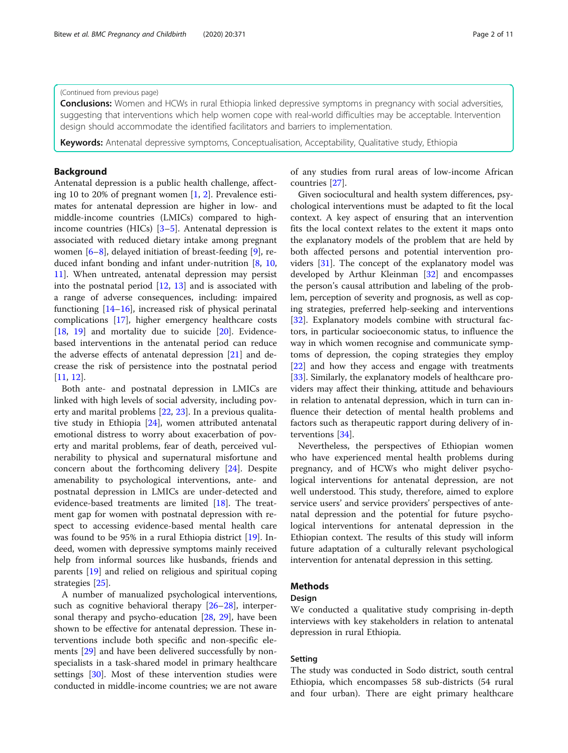#### (Continued from previous page)

**Conclusions:** Women and HCWs in rural Ethiopia linked depressive symptoms in pregnancy with social adversities, suggesting that interventions which help women cope with real-world difficulties may be acceptable. Intervention design should accommodate the identified facilitators and barriers to implementation.

**Keywords:** Antenatal depressive symptoms, Conceptualisation, Acceptability, Qualitative study, Ethiopia

# Background

Antenatal depression is a public health challenge, affecting 10 to 20% of pregnant women [[1,](#page-9-0) [2\]](#page-9-0). Prevalence estimates for antenatal depression are higher in low- and middle-income countries (LMICs) compared to highincome countries (HICs) [[3](#page-9-0)–[5](#page-9-0)]. Antenatal depression is associated with reduced dietary intake among pregnant women [[6](#page-9-0)–[8\]](#page-9-0), delayed initiation of breast-feeding [[9](#page-9-0)], reduced infant bonding and infant under-nutrition [[8,](#page-9-0) [10](#page-9-0), [11\]](#page-9-0). When untreated, antenatal depression may persist into the postnatal period [[12,](#page-9-0) [13](#page-9-0)] and is associated with a range of adverse consequences, including: impaired functioning [[14](#page-9-0)–[16](#page-9-0)], increased risk of physical perinatal complications [[17\]](#page-9-0), higher emergency healthcare costs [[18,](#page-9-0) [19](#page-9-0)] and mortality due to suicide [[20\]](#page-9-0). Evidencebased interventions in the antenatal period can reduce the adverse effects of antenatal depression [\[21](#page-10-0)] and decrease the risk of persistence into the postnatal period [[11,](#page-9-0) [12\]](#page-9-0).

Both ante- and postnatal depression in LMICs are linked with high levels of social adversity, including poverty and marital problems [[22](#page-10-0), [23](#page-10-0)]. In a previous qualitative study in Ethiopia [\[24](#page-10-0)], women attributed antenatal emotional distress to worry about exacerbation of poverty and marital problems, fear of death, perceived vulnerability to physical and supernatural misfortune and concern about the forthcoming delivery [\[24\]](#page-10-0). Despite amenability to psychological interventions, ante- and postnatal depression in LMICs are under-detected and evidence-based treatments are limited [[18](#page-9-0)]. The treatment gap for women with postnatal depression with respect to accessing evidence-based mental health care was found to be 95% in a rural Ethiopia district [[19\]](#page-9-0). Indeed, women with depressive symptoms mainly received help from informal sources like husbands, friends and parents [[19](#page-9-0)] and relied on religious and spiritual coping strategies [[25\]](#page-10-0).

A number of manualized psychological interventions, such as cognitive behavioral therapy [[26](#page-10-0)–[28\]](#page-10-0), interpersonal therapy and psycho-education [[28,](#page-10-0) [29\]](#page-10-0), have been shown to be effective for antenatal depression. These interventions include both specific and non-specific elements [\[29\]](#page-10-0) and have been delivered successfully by nonspecialists in a task-shared model in primary healthcare settings [\[30\]](#page-10-0). Most of these intervention studies were conducted in middle-income countries; we are not aware of any studies from rural areas of low-income African countries [[27](#page-10-0)].

Given sociocultural and health system differences, psychological interventions must be adapted to fit the local context. A key aspect of ensuring that an intervention fits the local context relates to the extent it maps onto the explanatory models of the problem that are held by both affected persons and potential intervention providers [\[31](#page-10-0)]. The concept of the explanatory model was developed by Arthur Kleinman [\[32\]](#page-10-0) and encompasses the person's causal attribution and labeling of the problem, perception of severity and prognosis, as well as coping strategies, preferred help-seeking and interventions [[32\]](#page-10-0). Explanatory models combine with structural factors, in particular socioeconomic status, to influence the way in which women recognise and communicate symptoms of depression, the coping strategies they employ [[22\]](#page-10-0) and how they access and engage with treatments [[33\]](#page-10-0). Similarly, the explanatory models of healthcare providers may affect their thinking, attitude and behaviours in relation to antenatal depression, which in turn can influence their detection of mental health problems and factors such as therapeutic rapport during delivery of interventions [\[34](#page-10-0)].

Nevertheless, the perspectives of Ethiopian women who have experienced mental health problems during pregnancy, and of HCWs who might deliver psychological interventions for antenatal depression, are not well understood. This study, therefore, aimed to explore service users' and service providers' perspectives of antenatal depression and the potential for future psychological interventions for antenatal depression in the Ethiopian context. The results of this study will inform future adaptation of a culturally relevant psychological intervention for antenatal depression in this setting.

# Methods

## Design

We conducted a qualitative study comprising in-depth interviews with key stakeholders in relation to antenatal depression in rural Ethiopia.

# Setting

The study was conducted in Sodo district, south central Ethiopia, which encompasses 58 sub-districts (54 rural and four urban). There are eight primary healthcare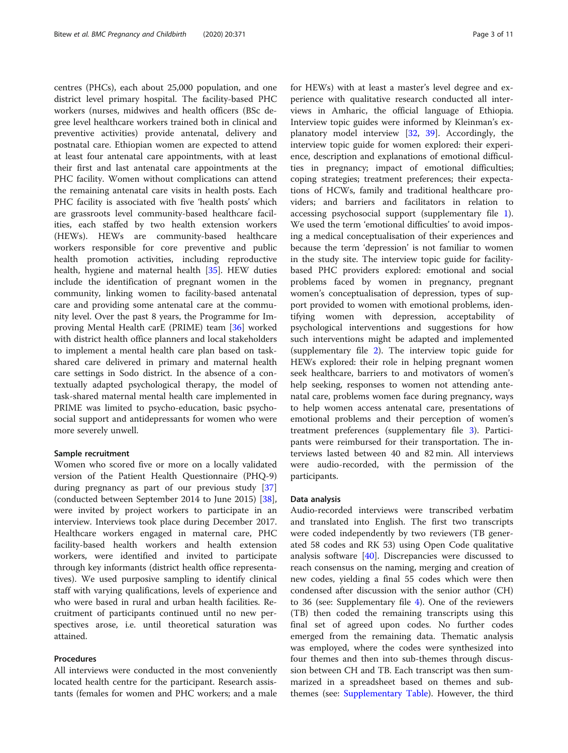centres (PHCs), each about 25,000 population, and one district level primary hospital. The facility-based PHC workers (nurses, midwives and health officers (BSc degree level healthcare workers trained both in clinical and preventive activities) provide antenatal, delivery and postnatal care. Ethiopian women are expected to attend at least four antenatal care appointments, with at least their first and last antenatal care appointments at the PHC facility. Women without complications can attend the remaining antenatal care visits in health posts. Each PHC facility is associated with five 'health posts' which are grassroots level community-based healthcare facilities, each staffed by two health extension workers (HEWs). HEWs are community-based healthcare workers responsible for core preventive and public health promotion activities, including reproductive health, hygiene and maternal health [\[35](#page-10-0)]. HEW duties include the identification of pregnant women in the community, linking women to facility-based antenatal care and providing some antenatal care at the community level. Over the past 8 years, the Programme for Improving Mental Health carE (PRIME) team [[36](#page-10-0)] worked with district health office planners and local stakeholders to implement a mental health care plan based on taskshared care delivered in primary and maternal health care settings in Sodo district. In the absence of a contextually adapted psychological therapy, the model of task-shared maternal mental health care implemented in PRIME was limited to psycho-education, basic psychosocial support and antidepressants for women who were more severely unwell.

#### Sample recruitment

Women who scored five or more on a locally validated version of the Patient Health Questionnaire (PHQ-9) during pregnancy as part of our previous study [[37](#page-10-0)] (conducted between September 2014 to June 2015) [\[38](#page-10-0)], were invited by project workers to participate in an interview. Interviews took place during December 2017. Healthcare workers engaged in maternal care, PHC facility-based health workers and health extension workers, were identified and invited to participate through key informants (district health office representatives). We used purposive sampling to identify clinical staff with varying qualifications, levels of experience and who were based in rural and urban health facilities. Recruitment of participants continued until no new perspectives arose, i.e. until theoretical saturation was attained.

# Procedures

All interviews were conducted in the most conveniently located health centre for the participant. Research assistants (females for women and PHC workers; and a male for HEWs) with at least a master's level degree and experience with qualitative research conducted all interviews in Amharic, the official language of Ethiopia. Interview topic guides were informed by Kleinman's explanatory model interview [\[32,](#page-10-0) [39](#page-10-0)]. Accordingly, the interview topic guide for women explored: their experience, description and explanations of emotional difficulties in pregnancy; impact of emotional difficulties; coping strategies; treatment preferences; their expectations of HCWs, family and traditional healthcare providers; and barriers and facilitators in relation to accessing psychosocial support (supplementary file [1](#page-8-0)). We used the term 'emotional difficulties' to avoid imposing a medical conceptualisation of their experiences and because the term 'depression' is not familiar to women in the study site. The interview topic guide for facilitybased PHC providers explored: emotional and social problems faced by women in pregnancy, pregnant women's conceptualisation of depression, types of support provided to women with emotional problems, identifying women with depression, acceptability of psychological interventions and suggestions for how such interventions might be adapted and implemented (supplementary file [2\)](#page-8-0). The interview topic guide for HEWs explored: their role in helping pregnant women seek healthcare, barriers to and motivators of women's help seeking, responses to women not attending antenatal care, problems women face during pregnancy, ways to help women access antenatal care, presentations of emotional problems and their perception of women's treatment preferences (supplementary file [3](#page-8-0)). Participants were reimbursed for their transportation. The interviews lasted between 40 and 82 min. All interviews were audio-recorded, with the permission of the participants.

#### Data analysis

Audio-recorded interviews were transcribed verbatim and translated into English. The first two transcripts were coded independently by two reviewers (TB generated 58 codes and RK 53) using Open Code qualitative analysis software [[40\]](#page-10-0). Discrepancies were discussed to reach consensus on the naming, merging and creation of new codes, yielding a final 55 codes which were then condensed after discussion with the senior author (CH) to 36 (see: Supplementary file  $4$ ). One of the reviewers (TB) then coded the remaining transcripts using this final set of agreed upon codes. No further codes emerged from the remaining data. Thematic analysis was employed, where the codes were synthesized into four themes and then into sub-themes through discussion between CH and TB. Each transcript was then summarized in a spreadsheet based on themes and subthemes (see: [Supplementary Table](#page-8-0)). However, the third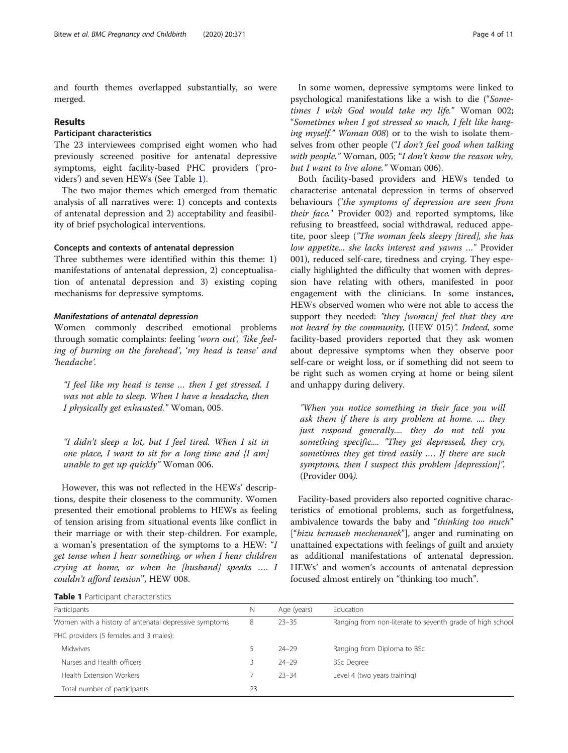and fourth themes overlapped substantially, so were merged.

# Results

# Participant characteristics

The 23 interviewees comprised eight women who had previously screened positive for antenatal depressive symptoms, eight facility-based PHC providers ('providers') and seven HEWs (See Table 1).

The two major themes which emerged from thematic analysis of all narratives were: 1) concepts and contexts of antenatal depression and 2) acceptability and feasibility of brief psychological interventions.

# Concepts and contexts of antenatal depression

Three subthemes were identified within this theme: 1) manifestations of antenatal depression, 2) conceptualisation of antenatal depression and 3) existing coping mechanisms for depressive symptoms.

# Manifestations of antenatal depression

Women commonly described emotional problems through somatic complaints: feeling 'worn out', 'like feeling of burning on the forehead', 'my head is tense' and 'headache'.

"I feel like my head is tense … then I get stressed. I was not able to sleep. When I have a headache, then I physically get exhausted." Woman, 005.

"I didn't sleep a lot, but I feel tired. When I sit in one place, I want to sit for a long time and  $[I \text{ am}]$ unable to get up quickly" Woman 006.

However, this was not reflected in the HEWs' descriptions, despite their closeness to the community. Women presented their emotional problems to HEWs as feeling of tension arising from situational events like conflict in their marriage or with their step-children. For example, a woman's presentation of the symptoms to a HEW: "I get tense when I hear something, or when I hear children crying at home, or when he [husband] speaks …. I couldn't afford tension", HEW 008.

In some women, depressive symptoms were linked to psychological manifestations like a wish to die ("Sometimes I wish God would take my life." Woman 002; "Sometimes when I got stressed so much, I felt like hanging myself." Woman 008) or to the wish to isolate themselves from other people ("I don't feel good when talking with people." Woman, 005; "I don't know the reason why, but I want to live alone." Woman 006).

Both facility-based providers and HEWs tended to characterise antenatal depression in terms of observed behaviours ("the symptoms of depression are seen from their face." Provider 002) and reported symptoms, like refusing to breastfeed, social withdrawal, reduced appetite, poor sleep ("The woman feels sleepy [tired], she has low appetite... she lacks interest and yawns …" Provider 001), reduced self-care, tiredness and crying. They especially highlighted the difficulty that women with depression have relating with others, manifested in poor engagement with the clinicians. In some instances, HEWs observed women who were not able to access the support they needed: "they [women] feel that they are not heard by the community, (HEW 015)". Indeed, some facility-based providers reported that they ask women about depressive symptoms when they observe poor self-care or weight loss, or if something did not seem to be right such as women crying at home or being silent and unhappy during delivery.

"When you notice something in their face you will ask them if there is any problem at home. .... they just respond generally.... they do not tell you something specific.... "They get depressed, they cry, sometimes they get tired easily …. If there are such symptoms, then I suspect this problem [depression]", (Provider 004).

Facility-based providers also reported cognitive characteristics of emotional problems, such as forgetfulness, ambivalence towards the baby and "thinking too much" ["bizu bemaseb mechenanek"], anger and ruminating on unattained expectations with feelings of guilt and anxiety as additional manifestations of antenatal depression. HEWs' and women's accounts of antenatal depression focused almost entirely on "thinking too much".

| Table 1 Participant characteristics |
|-------------------------------------|
|-------------------------------------|

| Participants                                          | Ν  | Age (years) | Education                                                 |
|-------------------------------------------------------|----|-------------|-----------------------------------------------------------|
| Women with a history of antenatal depressive symptoms | 8  | $23 - 35$   | Ranging from non-literate to seventh grade of high school |
| PHC providers (5 females and 3 males):                |    |             |                                                           |
| Midwives                                              |    | $24 - 29$   | Ranging from Diploma to BSc                               |
| Nurses and Health officers                            |    | $74 - 79$   | <b>BSc Degree</b>                                         |
| Health Extension Workers                              |    | $23 - 34$   | Level 4 (two years training)                              |
| Total number of participants                          | 23 |             |                                                           |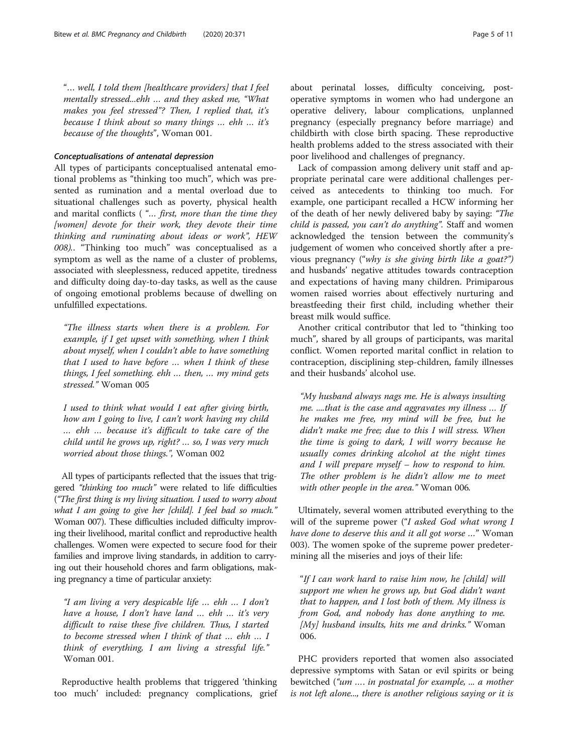"… well, I told them [healthcare providers] that I feel mentally stressed...ehh … and they asked me, "What makes you feel stressed"? Then, I replied that, it's because I think about so many things … ehh … it's because of the thoughts", Woman 001.

# Conceptualisations of antenatal depression

All types of participants conceptualised antenatal emotional problems as "thinking too much", which was presented as rumination and a mental overload due to situational challenges such as poverty, physical health and marital conflicts ( "… first, more than the time they [women] devote for their work, they devote their time thinking and ruminating about ideas or work", HEW 008).. "Thinking too much" was conceptualised as a symptom as well as the name of a cluster of problems, associated with sleeplessness, reduced appetite, tiredness and difficulty doing day-to-day tasks, as well as the cause of ongoing emotional problems because of dwelling on unfulfilled expectations.

"The illness starts when there is a problem. For example, if I get upset with something, when I think about myself, when I couldn't able to have something that I used to have before … when I think of these things, I feel something. ehh … then, … my mind gets stressed." Woman 005

I used to think what would I eat after giving birth, how am I going to live, I can't work having my child … ehh … because it's difficult to take care of the child until he grows up, right? … so, I was very much worried about those things.", Woman 002

All types of participants reflected that the issues that triggered "thinking too much" were related to life difficulties ("The first thing is my living situation. I used to worry about what I am going to give her [child]. I feel bad so much." Woman 007). These difficulties included difficulty improving their livelihood, marital conflict and reproductive health challenges. Women were expected to secure food for their families and improve living standards, in addition to carrying out their household chores and farm obligations, making pregnancy a time of particular anxiety:

"I am living a very despicable life … ehh … I don't have a house, I don't have land ... ehh ... it's very difficult to raise these five children. Thus, I started to become stressed when I think of that … ehh … I think of everything, I am living a stressful life." Woman 001.

Reproductive health problems that triggered 'thinking too much' included: pregnancy complications, grief about perinatal losses, difficulty conceiving, postoperative symptoms in women who had undergone an operative delivery, labour complications, unplanned pregnancy (especially pregnancy before marriage) and childbirth with close birth spacing. These reproductive health problems added to the stress associated with their poor livelihood and challenges of pregnancy.

Lack of compassion among delivery unit staff and appropriate perinatal care were additional challenges perceived as antecedents to thinking too much. For example, one participant recalled a HCW informing her of the death of her newly delivered baby by saying: "The child is passed, you can't do anything". Staff and women acknowledged the tension between the community's judgement of women who conceived shortly after a previous pregnancy ("why is she giving birth like a goat?") and husbands' negative attitudes towards contraception and expectations of having many children. Primiparous women raised worries about effectively nurturing and breastfeeding their first child, including whether their breast milk would suffice.

Another critical contributor that led to "thinking too much", shared by all groups of participants, was marital conflict. Women reported marital conflict in relation to contraception, disciplining step-children, family illnesses and their husbands' alcohol use.

"My husband always nags me. He is always insulting me. ....that is the case and aggravates my illness … If he makes me free, my mind will be free, but he didn't make me free; due to this I will stress. When the time is going to dark, I will worry because he usually comes drinking alcohol at the night times and I will prepare myself – how to respond to him. The other problem is he didn't allow me to meet with other people in the area." Woman 006.

Ultimately, several women attributed everything to the will of the supreme power ("I asked God what wrong I have done to deserve this and it all got worse ..." Woman 003). The women spoke of the supreme power predetermining all the miseries and joys of their life:

"If I can work hard to raise him now, he [child] will support me when he grows up, but God didn't want that to happen, and I lost both of them. My illness is from God, and nobody has done anything to me.  $[My]$  husband insults, hits me and drinks." Woman 006.

PHC providers reported that women also associated depressive symptoms with Satan or evil spirits or being bewitched ("um …. in postnatal for example, ... a mother is not left alone..., there is another religious saying or it is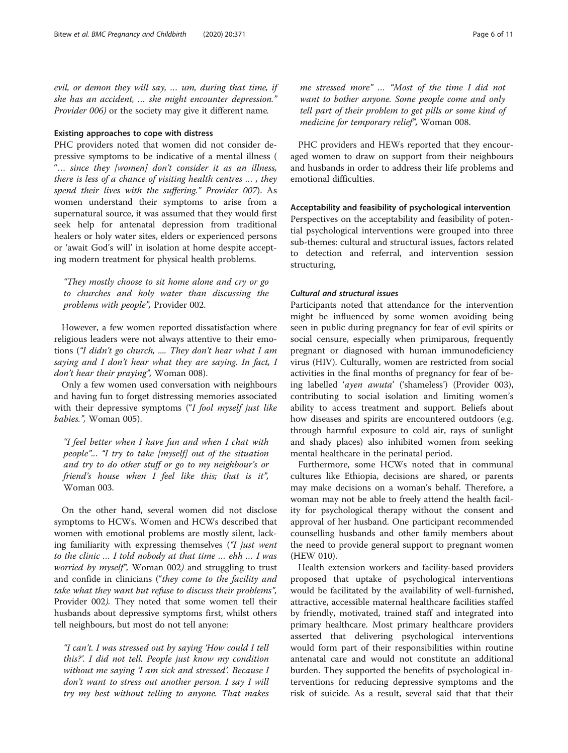evil, or demon they will say, … um, during that time, if she has an accident, … she might encounter depression." Provider 006) or the society may give it different name.

# Existing approaches to cope with distress

PHC providers noted that women did not consider depressive symptoms to be indicative of a mental illness ( "… since they [women] don't consider it as an illness, there is less of a chance of visiting health centres … , they spend their lives with the suffering." Provider 007). As women understand their symptoms to arise from a supernatural source, it was assumed that they would first seek help for antenatal depression from traditional healers or holy water sites, elders or experienced persons or 'await God's will' in isolation at home despite accepting modern treatment for physical health problems.

"They mostly choose to sit home alone and cry or go to churches and holy water than discussing the problems with people", Provider 002.

However, a few women reported dissatisfaction where religious leaders were not always attentive to their emotions ("I didn't go church, .... They don't hear what I am saying and I don't hear what they are saying. In fact, I don't hear their praying", Woman 008).

Only a few women used conversation with neighbours and having fun to forget distressing memories associated with their depressive symptoms ("I fool myself just like babies.", Woman 005).

"I feel better when I have fun and when I chat with people"... "I try to take [myself] out of the situation and try to do other stuff or go to my neighbour's or friend's house when I feel like this; that is it", Woman 003.

On the other hand, several women did not disclose symptoms to HCWs. Women and HCWs described that women with emotional problems are mostly silent, lacking familiarity with expressing themselves ("I just went to the clinic … I told nobody at that time … ehh … I was worried by myself", Woman 002) and struggling to trust and confide in clinicians ("they come to the facility and take what they want but refuse to discuss their problems", Provider 002). They noted that some women tell their husbands about depressive symptoms first, whilst others tell neighbours, but most do not tell anyone:

"I can't. I was stressed out by saying 'How could I tell this?'. I did not tell. People just know my condition without me saying 'I am sick and stressed'. Because I don't want to stress out another person. I say I will try my best without telling to anyone. That makes

me stressed more"…"Most of the time I did not want to bother anyone. Some people come and only tell part of their problem to get pills or some kind of medicine for temporary relief", Woman 008.

PHC providers and HEWs reported that they encouraged women to draw on support from their neighbours and husbands in order to address their life problems and emotional difficulties.

Acceptability and feasibility of psychological intervention

Perspectives on the acceptability and feasibility of potential psychological interventions were grouped into three sub-themes: cultural and structural issues, factors related to detection and referral, and intervention session structuring,

#### Cultural and structural issues

Participants noted that attendance for the intervention might be influenced by some women avoiding being seen in public during pregnancy for fear of evil spirits or social censure, especially when primiparous, frequently pregnant or diagnosed with human immunodeficiency virus (HIV). Culturally, women are restricted from social activities in the final months of pregnancy for fear of being labelled 'ayen awuta' ('shameless') (Provider 003), contributing to social isolation and limiting women's ability to access treatment and support. Beliefs about how diseases and spirits are encountered outdoors (e.g. through harmful exposure to cold air, rays of sunlight and shady places) also inhibited women from seeking mental healthcare in the perinatal period.

Furthermore, some HCWs noted that in communal cultures like Ethiopia, decisions are shared, or parents may make decisions on a woman's behalf. Therefore, a woman may not be able to freely attend the health facility for psychological therapy without the consent and approval of her husband. One participant recommended counselling husbands and other family members about the need to provide general support to pregnant women (HEW 010).

Health extension workers and facility-based providers proposed that uptake of psychological interventions would be facilitated by the availability of well-furnished, attractive, accessible maternal healthcare facilities staffed by friendly, motivated, trained staff and integrated into primary healthcare. Most primary healthcare providers asserted that delivering psychological interventions would form part of their responsibilities within routine antenatal care and would not constitute an additional burden. They supported the benefits of psychological interventions for reducing depressive symptoms and the risk of suicide. As a result, several said that that their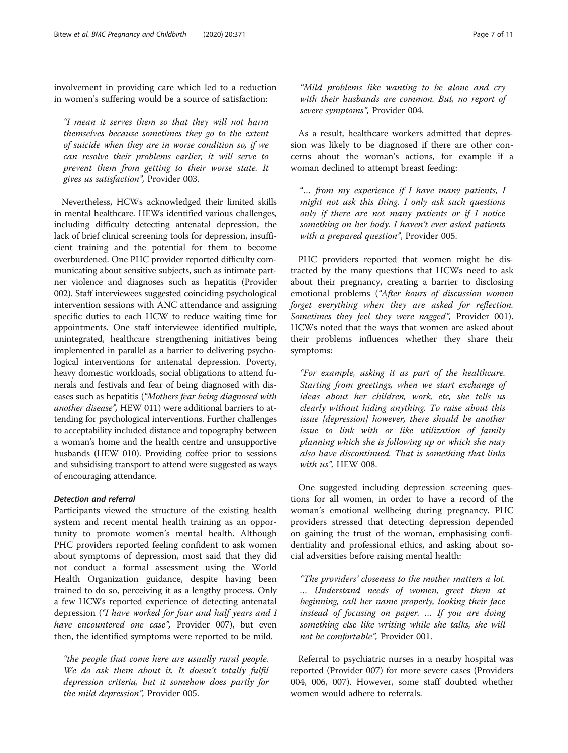involvement in providing care which led to a reduction in women's suffering would be a source of satisfaction:

"I mean it serves them so that they will not harm themselves because sometimes they go to the extent of suicide when they are in worse condition so, if we can resolve their problems earlier, it will serve to prevent them from getting to their worse state. It gives us satisfaction", Provider 003.

Nevertheless, HCWs acknowledged their limited skills in mental healthcare. HEWs identified various challenges, including difficulty detecting antenatal depression, the lack of brief clinical screening tools for depression, insufficient training and the potential for them to become overburdened. One PHC provider reported difficulty communicating about sensitive subjects, such as intimate partner violence and diagnoses such as hepatitis (Provider 002). Staff interviewees suggested coinciding psychological intervention sessions with ANC attendance and assigning specific duties to each HCW to reduce waiting time for appointments. One staff interviewee identified multiple, unintegrated, healthcare strengthening initiatives being implemented in parallel as a barrier to delivering psychological interventions for antenatal depression. Poverty, heavy domestic workloads, social obligations to attend funerals and festivals and fear of being diagnosed with diseases such as hepatitis ("Mothers fear being diagnosed with another disease", HEW 011) were additional barriers to attending for psychological interventions. Further challenges to acceptability included distance and topography between a woman's home and the health centre and unsupportive husbands (HEW 010). Providing coffee prior to sessions and subsidising transport to attend were suggested as ways of encouraging attendance.

#### Detection and referral

Participants viewed the structure of the existing health system and recent mental health training as an opportunity to promote women's mental health. Although PHC providers reported feeling confident to ask women about symptoms of depression, most said that they did not conduct a formal assessment using the World Health Organization guidance, despite having been trained to do so, perceiving it as a lengthy process. Only a few HCWs reported experience of detecting antenatal depression ("I have worked for four and half years and I have encountered one case", Provider 007), but even then, the identified symptoms were reported to be mild.

"the people that come here are usually rural people. We do ask them about it. It doesn't totally fulfil depression criteria, but it somehow does partly for the mild depression", Provider 005.

As a result, healthcare workers admitted that depression was likely to be diagnosed if there are other concerns about the woman's actions, for example if a woman declined to attempt breast feeding:

severe symptoms", Provider 004.

"… from my experience if I have many patients, I might not ask this thing. I only ask such questions only if there are not many patients or if I notice something on her body. I haven't ever asked patients with a prepared question", Provider 005.

PHC providers reported that women might be distracted by the many questions that HCWs need to ask about their pregnancy, creating a barrier to disclosing emotional problems ("After hours of discussion women forget everything when they are asked for reflection. Sometimes they feel they were nagged", Provider 001). HCWs noted that the ways that women are asked about their problems influences whether they share their symptoms:

"For example, asking it as part of the healthcare. Starting from greetings, when we start exchange of ideas about her children, work, etc, she tells us clearly without hiding anything. To raise about this issue [depression] however, there should be another issue to link with or like utilization of family planning which she is following up or which she may also have discontinued. That is something that links with us". HEW 008.

One suggested including depression screening questions for all women, in order to have a record of the woman's emotional wellbeing during pregnancy. PHC providers stressed that detecting depression depended on gaining the trust of the woman, emphasising confidentiality and professional ethics, and asking about social adversities before raising mental health:

"The providers' closeness to the mother matters a lot. … Understand needs of women, greet them at beginning, call her name properly, looking their face instead of focusing on paper. … If you are doing something else like writing while she talks, she will not be comfortable", Provider 001.

Referral to psychiatric nurses in a nearby hospital was reported (Provider 007) for more severe cases (Providers 004, 006, 007). However, some staff doubted whether women would adhere to referrals.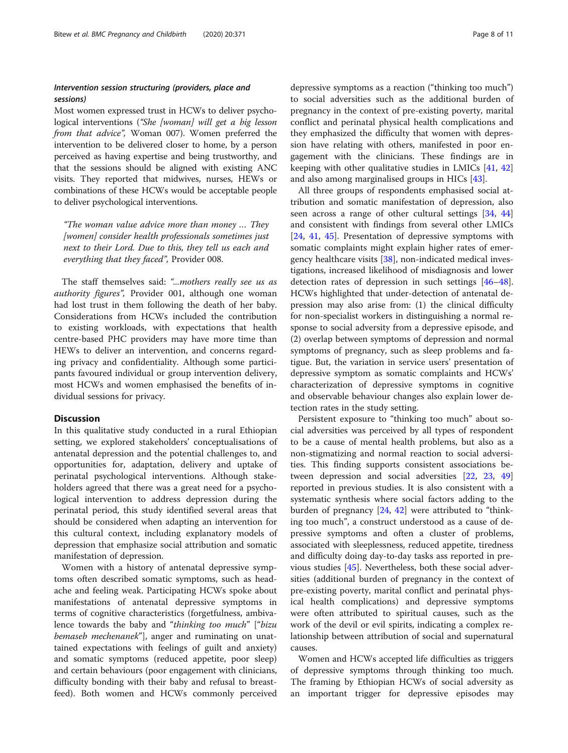# Intervention session structuring (providers, place and sessions)

Most women expressed trust in HCWs to deliver psychological interventions ("She [woman] will get a big lesson from that advice", Woman 007). Women preferred the intervention to be delivered closer to home, by a person perceived as having expertise and being trustworthy, and that the sessions should be aligned with existing ANC visits. They reported that midwives, nurses, HEWs or combinations of these HCWs would be acceptable people to deliver psychological interventions.

"The woman value advice more than money … They [women] consider health professionals sometimes just next to their Lord. Due to this, they tell us each and everything that they faced", Provider 008.

The staff themselves said: "...mothers really see us as authority figures", Provider 001, although one woman had lost trust in them following the death of her baby. Considerations from HCWs included the contribution to existing workloads, with expectations that health centre-based PHC providers may have more time than HEWs to deliver an intervention, and concerns regarding privacy and confidentiality. Although some participants favoured individual or group intervention delivery, most HCWs and women emphasised the benefits of individual sessions for privacy.

#### **Discussion**

In this qualitative study conducted in a rural Ethiopian setting, we explored stakeholders' conceptualisations of antenatal depression and the potential challenges to, and opportunities for, adaptation, delivery and uptake of perinatal psychological interventions. Although stakeholders agreed that there was a great need for a psychological intervention to address depression during the perinatal period, this study identified several areas that should be considered when adapting an intervention for this cultural context, including explanatory models of depression that emphasize social attribution and somatic manifestation of depression.

Women with a history of antenatal depressive symptoms often described somatic symptoms, such as headache and feeling weak. Participating HCWs spoke about manifestations of antenatal depressive symptoms in terms of cognitive characteristics (forgetfulness, ambivalence towards the baby and "thinking too much" ["bizu bemaseb mechenanek"], anger and ruminating on unattained expectations with feelings of guilt and anxiety) and somatic symptoms (reduced appetite, poor sleep) and certain behaviours (poor engagement with clinicians, difficulty bonding with their baby and refusal to breastfeed). Both women and HCWs commonly perceived

depressive symptoms as a reaction ("thinking too much") to social adversities such as the additional burden of pregnancy in the context of pre-existing poverty, marital conflict and perinatal physical health complications and they emphasized the difficulty that women with depression have relating with others, manifested in poor engagement with the clinicians. These findings are in keeping with other qualitative studies in LMICs [\[41,](#page-10-0) [42](#page-10-0)] and also among marginalised groups in HICs [\[43\]](#page-10-0).

All three groups of respondents emphasised social attribution and somatic manifestation of depression, also seen across a range of other cultural settings [[34,](#page-10-0) [44](#page-10-0)] and consistent with findings from several other LMICs [[24,](#page-10-0) [41](#page-10-0), [45](#page-10-0)]. Presentation of depressive symptoms with somatic complaints might explain higher rates of emergency healthcare visits [\[38\]](#page-10-0), non-indicated medical investigations, increased likelihood of misdiagnosis and lower detection rates of depression in such settings [[46](#page-10-0)–[48](#page-10-0)]. HCWs highlighted that under-detection of antenatal depression may also arise from: (1) the clinical difficulty for non-specialist workers in distinguishing a normal response to social adversity from a depressive episode, and (2) overlap between symptoms of depression and normal symptoms of pregnancy, such as sleep problems and fatigue. But, the variation in service users' presentation of depressive symptom as somatic complaints and HCWs' characterization of depressive symptoms in cognitive and observable behaviour changes also explain lower detection rates in the study setting.

Persistent exposure to "thinking too much" about social adversities was perceived by all types of respondent to be a cause of mental health problems, but also as a non-stigmatizing and normal reaction to social adversities. This finding supports consistent associations between depression and social adversities [[22](#page-10-0), [23,](#page-10-0) [49](#page-10-0)] reported in previous studies. It is also consistent with a systematic synthesis where social factors adding to the burden of pregnancy [\[24](#page-10-0), [42\]](#page-10-0) were attributed to "thinking too much", a construct understood as a cause of depressive symptoms and often a cluster of problems, associated with sleeplessness, reduced appetite, tiredness and difficulty doing day-to-day tasks ass reported in previous studies [\[45](#page-10-0)]. Nevertheless, both these social adversities (additional burden of pregnancy in the context of pre-existing poverty, marital conflict and perinatal physical health complications) and depressive symptoms were often attributed to spiritual causes, such as the work of the devil or evil spirits, indicating a complex relationship between attribution of social and supernatural causes.

Women and HCWs accepted life difficulties as triggers of depressive symptoms through thinking too much. The framing by Ethiopian HCWs of social adversity as an important trigger for depressive episodes may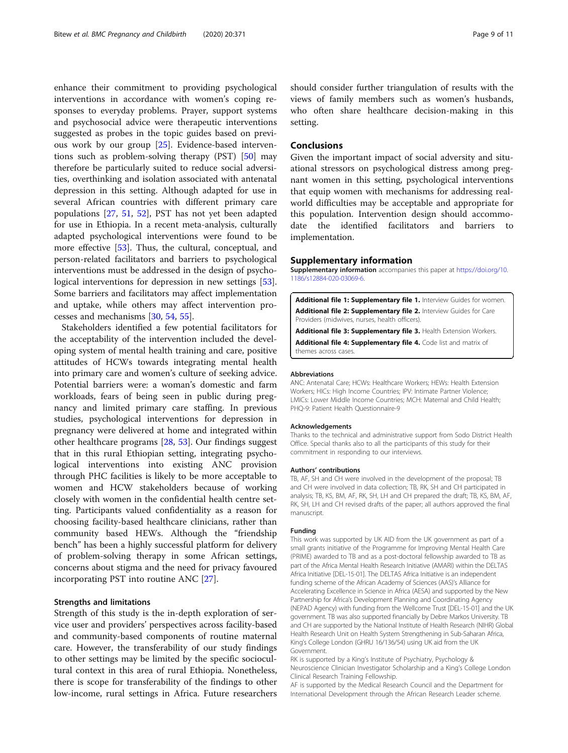<span id="page-8-0"></span>enhance their commitment to providing psychological interventions in accordance with women's coping responses to everyday problems. Prayer, support systems and psychosocial advice were therapeutic interventions suggested as probes in the topic guides based on previous work by our group [[25\]](#page-10-0). Evidence-based interventions such as problem-solving therapy (PST) [[50\]](#page-10-0) may therefore be particularly suited to reduce social adversities, overthinking and isolation associated with antenatal depression in this setting. Although adapted for use in several African countries with different primary care populations [[27,](#page-10-0) [51,](#page-10-0) [52\]](#page-10-0), PST has not yet been adapted for use in Ethiopia. In a recent meta-analysis, culturally adapted psychological interventions were found to be more effective [\[53](#page-10-0)]. Thus, the cultural, conceptual, and person-related facilitators and barriers to psychological interventions must be addressed in the design of psychological interventions for depression in new settings [\[53](#page-10-0)]. Some barriers and facilitators may affect implementation and uptake, while others may affect intervention processes and mechanisms [[30](#page-10-0), [54](#page-10-0), [55](#page-10-0)].

Stakeholders identified a few potential facilitators for the acceptability of the intervention included the developing system of mental health training and care, positive attitudes of HCWs towards integrating mental health into primary care and women's culture of seeking advice. Potential barriers were: a woman's domestic and farm workloads, fears of being seen in public during pregnancy and limited primary care staffing. In previous studies, psychological interventions for depression in pregnancy were delivered at home and integrated within other healthcare programs [[28,](#page-10-0) [53\]](#page-10-0). Our findings suggest that in this rural Ethiopian setting, integrating psychological interventions into existing ANC provision through PHC facilities is likely to be more acceptable to women and HCW stakeholders because of working closely with women in the confidential health centre setting. Participants valued confidentiality as a reason for choosing facility-based healthcare clinicians, rather than community based HEWs. Although the "friendship bench" has been a highly successful platform for delivery of problem-solving therapy in some African settings, concerns about stigma and the need for privacy favoured incorporating PST into routine ANC [\[27\]](#page-10-0).

# Strengths and limitations

Strength of this study is the in-depth exploration of service user and providers' perspectives across facility-based and community-based components of routine maternal care. However, the transferability of our study findings to other settings may be limited by the specific sociocultural context in this area of rural Ethiopia. Nonetheless, there is scope for transferability of the findings to other low-income, rural settings in Africa. Future researchers should consider further triangulation of results with the views of family members such as women's husbands, who often share healthcare decision-making in this setting.

## Conclusions

Given the important impact of social adversity and situational stressors on psychological distress among pregnant women in this setting, psychological interventions that equip women with mechanisms for addressing realworld difficulties may be acceptable and appropriate for this population. Intervention design should accommodate the identified facilitators and barriers to implementation.

#### Supplementary information

Supplementary information accompanies this paper at [https://doi.org/10.](https://doi.org/10.1186/s12884-020-03069-6) [1186/s12884-020-03069-6](https://doi.org/10.1186/s12884-020-03069-6).

Additional file 1: Supplementary file 1. Interview Guides for women. Additional file 2: Supplementary file 2. Interview Guides for Care Providers (midwives, nurses, health officers).

Additional file 3: Supplementary file 3. Health Extension Workers. Additional file 4: Supplementary file 4. Code list and matrix of themes across cases.

#### Abbreviations

ANC: Antenatal Care; HCWs: Healthcare Workers; HEWs: Health Extension Workers; HICs: High Income Countries; IPV: Intimate Partner Violence; LMICs: Lower Middle Income Countries; MCH: Maternal and Child Health; PHQ-9: Patient Health Questionnaire-9

#### Acknowledgements

Thanks to the technical and administrative support from Sodo District Health Office. Special thanks also to all the participants of this study for their commitment in responding to our interviews.

#### Authors' contributions

TB, AF, SH and CH were involved in the development of the proposal; TB and CH were involved in data collection; TB, RK, SH and CH participated in analysis; TB, KS, BM, AF, RK, SH, LH and CH prepared the draft; TB, KS, BM, AF, RK, SH, LH and CH revised drafts of the paper; all authors approved the final manuscript.

#### Funding

This work was supported by UK AID from the UK government as part of a small grants initiative of the Programme for Improving Mental Health Care (PRIME) awarded to TB and as a post-doctoral fellowship awarded to TB as part of the Africa Mental Health Research Initiative (AMARI) within the DELTAS Africa Initiative [DEL-15-01]. The DELTAS Africa Initiative is an independent funding scheme of the African Academy of Sciences (AAS)'s Alliance for Accelerating Excellence in Science in Africa (AESA) and supported by the New Partnership for Africa's Development Planning and Coordinating Agency (NEPAD Agency) with funding from the Wellcome Trust [DEL-15-01] and the UK government. TB was also supported financially by Debre Markos University. TB and CH are supported by the National Institute of Health Research (NIHR) Global Health Research Unit on Health System Strengthening in Sub-Saharan Africa, King's College London (GHRU 16/136/54) using UK aid from the UK Government.

RK is supported by a King's Institute of Psychiatry, Psychology & Neuroscience Clinician Investigator Scholarship and a King's College London Clinical Research Training Fellowship.

AF is supported by the Medical Research Council and the Department for International Development through the African Research Leader scheme.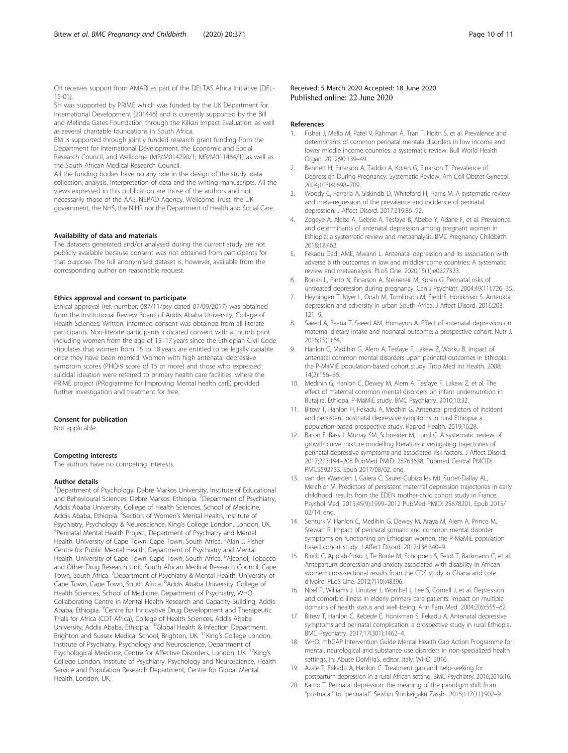<span id="page-9-0"></span>CH receives support from AMARI as part of the DELTAS Africa Initiative [DEL-15-01].

SH was supported by PRIME which was funded by the UK Department for International Development [201446] and is currently supported by the Bill and Melinda Gates Foundation through the Kilkari Impact Evaluation, as well as several charitable foundations in South Africa.

BM is supported through jointly funded research grant funding from the Department for International Development, the Economic and Social Research Council, and Wellcome (MR/M014290/1; MR/M011464/1) as well as the South African Medical Research Council.

All the funding bodies have no any role in the design of the study, data collection, analysis, interpretation of data and the writing manuscripts. All the views expressed in this publication are those of the authors and not necessarily those of the AAS, NEPAD Agency, Wellcome Trust, the UK government, the NHS, the NIHR nor the Department of Health and Social Care.

#### Availability of data and materials

The datasets generated and/or analysed during the current study are not publicly available because consent was not obtained from participants for that purpose. The full anonymised dataset is, however, available from the corresponding author on reasonable request.

#### Ethics approval and consent to participate

Ethical approval (ref. number: 087/11/psy dated 07/09/2017) was obtained from the Institutional Review Board of Addis Ababa University, College of Health Sciences. Written, informed consent was obtained from all literate participants. Non-literate participants indicated consent with a thumb print including women from the age of 15–17 years since the Ethiopian Civil Code stipulates that women from 15 to 18 years are entitled to be legally capable once they have been married. Women with high antenatal depressive symptom scores (PHQ-9 score of 15 or more) and those who expressed suicidal ideation were referred to primary health care facilities, where the PRIME project (PRogramme for Improving Mental health carE) provided further investigation and treatment for free.

#### Consent for publication

Not applicable.

#### Competing interests

The authors have no competing interests.

#### Author details

<sup>1</sup>Department of Psychology, Debre Markos University, Institute of Educational and Behavioural Sciences, Debre Markos, Ethiopia. <sup>2</sup> Department of Psychiatry, Addis Ababa University, College of Health Sciences, School of Medicine, Addis Ababa, Ethiopia. <sup>3</sup>Section of Women's Mental Health, Institute of Psychiatry, Psychology & Neuroscience, King's College London, London, UK. <sup>4</sup> Perinatal Mental Health Project, Department of Psychiatry and Mental Health, University of Cape Town, Cape Town, South Africa. <sup>5</sup>Alan J. Fisher Centre for Public Mental Health, Department of Psychiatry and Mental Health, University of Cape Town, Cape Town, South Africa. <sup>6</sup>Alcohol, Tobacco and Other Drug Research Unit, South African Medical Research Council, Cape Town, South Africa. <sup>7</sup> Department of Psychiatry & Mental Health, University of Cape Town, Cape Town, South Africa. <sup>8</sup>Addis Ababa University, College of Health Sciences, School of Medicine, Department of Psychiatry, WHO Collaborating Centre in Mental Health Research and Capacity-Building, Addis Ababa, Ethiopia. <sup>9</sup>Centre for Innovative Drug Development and Therapeutic Trials for Africa (CDT-Africa), College of Health Sciences, Addis Ababa University, Addis Ababa, Ethiopia. <sup>10</sup>Global Health & Infection Department, Brighton and Sussex Medical School, Brighton, UK. <sup>11</sup>King's College London, Institute of Psychiatry, Psychology and Neuroscience, Department of Psychological Medicine, Centre for Affective Disorders, London, UK. <sup>12</sup>King's College London, Institute of Psychiatry, Psychology and Neuroscience, Health Service and Population Research Department, Centre for Global Mental Health, London, UK.

#### Received: 5 March 2020 Accepted: 18 June 2020 Published online: 22 June 2020

#### References

- 1. Fisher J, Mello M, Patel V, Rahman A, Tran T, Holtn S, et al. Prevalence and determinants of common perinatal mentala disorders in low income and lower middle income countries: a systematic review. Bull World Health Organ. 2012;90:139-49.
- 2. Bennett H, Einarson A, Taddio A, Koren G, Einarson T. Prevalence of Depression During Pregnancy: Systematic Review. Am Coll Obstet Gynecol. 2004;103(4):698–709.
- 3. Woody C, Ferraria A, Siskindb D, Whiteford H, Harris M. A systematic review and meta-regression of the prevalence and incidence of perinatal depression. J Affect Disord. 2017;219:86–92.
- 4. Zegeye A, Alebe A, Gebrie A, Tesfaye B, Abebe Y, Adane F, et al. Prevalence and determinants of antenatal depression among pregnant women in Ethiopia: a systematic review and metaanalysis. BMC Pregnancy Childbirth. 2018;18:462.
- 5. Fekadu Dadi AME, Mwanri L. Antenatal depression and its association with adverse birth outcomes in low and middleincome countries: A systematic review and metaanalysis. PLoS One. 2020;15(1):e0227323.
- 6. Bonari L, Pinto N, Einarson A, Steinereir M, Koren G. Perinatal risks of untreated depression during pregnancy. Can J Psychiatr. 2004;49(11):726–35.
- 7. Heyningen T, Myer L, Onah M, Tomlinson M, Field S, Honikman S. Antenatal depression and adversity in urban South Africa. J Affect Disord. 2016;203: 121–9.
- 8. Saeed A, Raana T, Saeed AM, Humayun A. Effect of antenatal depression on maternal dietary intake and neonatal outcome: a prospective cohort. Nutr J. 2016;15(1):64.
- Hanlon C, Medihin G, Alem A, Tesfaye F, Lakew Z, Worku B. Impact of antenatal common mental disorders upon perinatal outcomes in Ethiopia: the P-MaMiE population-based cohort study. Trop Med Int Health. 2008; 14(2):156–66.
- 10. Medihin G, Hanlon C, Dewey M, Alem A, Tesfaye F, Lakew Z, et al. The effect of maternal common mental disorders on infant undernutrition in Butajira, Ethiopa: P-MaMiE study. BMC Psychiatry. 2010;10:32.
- 11. Bitew T, Hanlon H, Fekadu A, Medhin G. Antenatal predictors of incident and persistent postnatal depressive symptoms in rural Ethiopia: a population-based prospective study. Reprod Health. 2019;16:28.
- 12. Baron E, Bass J, Murray SM, Schneider M, Lund C. A systematic review of growth curve mixture modelling literature investigating trajectories of perinatal depressive symptoms and associated risk factors. J Affect Disord. 2017;223:194–208 PubMed PMID: 28763638. Pubmed Central PMCID: PMC5592733. Epub 2017/08/02. eng.
- 13. van der Waerden J, Galera C, Saurel-Cubizolles MJ, Sutter-Dallay AL, Melchior M. Predictors of persistent maternal depression trajectories in early childhood: results from the EDEN mother-child cohort study in France. Psychol Med. 2015;45(9):1999–2012 PubMed PMID: 25678201. Epub 2015/ 02/14. eng.
- 14. Senturk V, Hanlon C, Medihin G, Dewey M, Araya M, Alem A, Prince M, Stewart R. Impact of perinatal somatic and common mental disorder symptoms on functioning on Ethiopian women: the P-MaMiE population based cohort study. J Affect Disord. 2012;136:340–9.
- 15. Bindt C, Appiah-Poku J, Te Bonle M, Schoppen S, Feldt T, Barkmann C, et al. Antepartum depression and anxiety associated with disability in African women: cross-sectional results from the CDS study in Ghana and cote d'Ivoire. PLoS One. 2012;7(10):48396.
- 16. Noel P, Williams J, Unutzer J, Worchel J, Lee S, Cornell J, et al. Depression and comorbid illness in elderly primary care patients: impact on multiple domains of health status and well-being. Ann Fam Med. 2004;2(6):555–62.
- 17. Bitew T, Hanlon C, Kebede E, Honikman S, Fekadu A. Antenatal depressive symptoms and perinatal complication. a prospective study in rural Ethiopia. BMC Psychiatry. 2017;17(301):1462–4.
- 18. WHO. mhGAP Intervention Guide Mental Health Gap Action Programme for mental, neurological and substance use disorders in non-specialized health settings. In: Abuse DoMHaS, editor. Italy: WHO; 2016.
- 19. Azale T, Fekadu A, Hanlon C. Treatment gap and help-seeking for postpartum depression in a rural African setting. BMC Psychiatry. 2016;2016:16.
- 20. Kamo T. Perinatal depression: the meaning of the paradigm shift from "postnatal" to "perinatal". Seishin Shinkeigaku Zasshi. 2015;117(11):902–9.